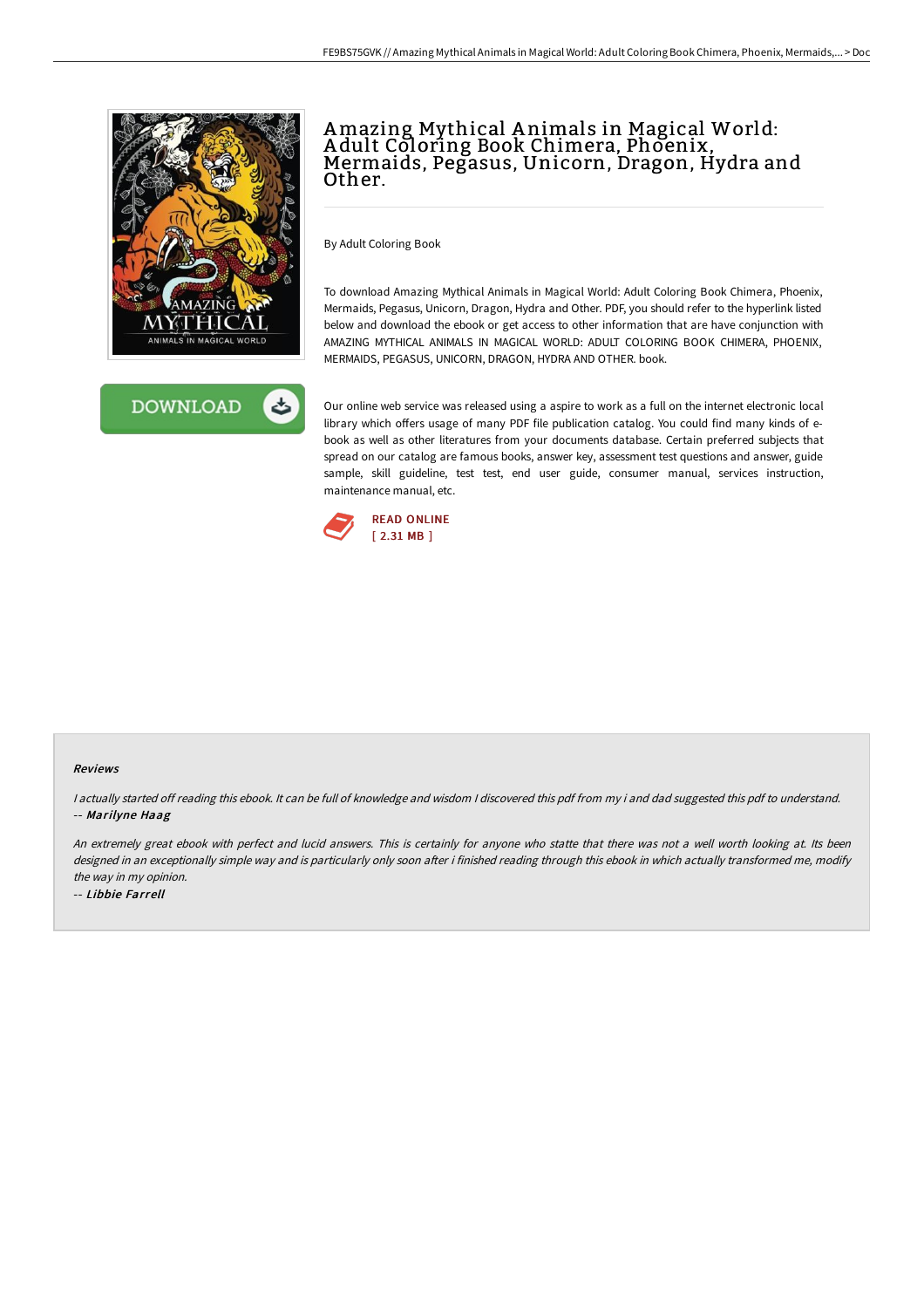



# Amazing Mythical A nimals in Magical World: Adult Coloring Book Chimera, Phoenix,<br>Mermaids, Pegasus, Unicorn, Dragon, Hydra and Other.

By Adult Coloring Book

To download Amazing Mythical Animals in Magical World: Adult Coloring Book Chimera, Phoenix, Mermaids, Pegasus, Unicorn, Dragon, Hydra and Other. PDF, you should refer to the hyperlink listed below and download the ebook or get access to other information that are have conjunction with AMAZING MYTHICAL ANIMALS IN MAGICAL WORLD: ADULT COLORING BOOK CHIMERA, PHOENIX, MERMAIDS, PEGASUS, UNICORN, DRAGON, HYDRA AND OTHER. book.

Our online web service was released using a aspire to work as a full on the internet electronic local library which offers usage of many PDF file publication catalog. You could find many kinds of ebook as well as other literatures from your documents database. Certain preferred subjects that spread on our catalog are famous books, answer key, assessment test questions and answer, guide sample, skill guideline, test test, end user guide, consumer manual, services instruction, maintenance manual, etc.



#### Reviews

I actually started off reading this ebook. It can be full of knowledge and wisdom I discovered this pdf from my i and dad suggested this pdf to understand. -- Marilyne Haag

An extremely great ebook with perfect and lucid answers. This is certainly for anyone who statte that there was not a well worth looking at. Its been designed in an exceptionally simple way and is particularly only soon after i finished reading through this ebook in which actually transformed me, modify the way in my opinion.

-- Libbie Farrell